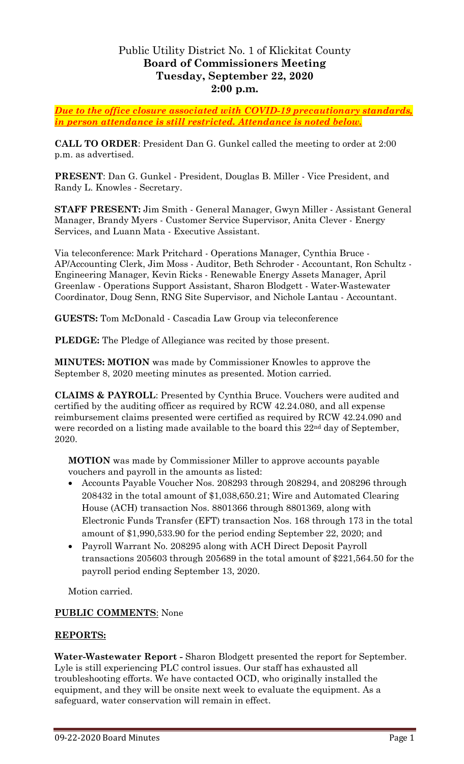## Public Utility District No. 1 of Klickitat County **Board of Commissioners Meeting Tuesday, September 22, 2020 2:00 p.m.**

*Due to the office closure associated with COVID-19 precautionary standards, in person attendance is still restricted. Attendance is noted below.*

**CALL TO ORDER**: President Dan G. Gunkel called the meeting to order at 2:00 p.m. as advertised.

**PRESENT**: Dan G. Gunkel - President, Douglas B. Miller - Vice President, and Randy L. Knowles - Secretary.

**STAFF PRESENT:** Jim Smith - General Manager, Gwyn Miller - Assistant General Manager, Brandy Myers - Customer Service Supervisor, Anita Clever - Energy Services, and Luann Mata - Executive Assistant.

Via teleconference: Mark Pritchard - Operations Manager, Cynthia Bruce - AP/Accounting Clerk, Jim Moss - Auditor, Beth Schroder - Accountant, Ron Schultz - Engineering Manager, Kevin Ricks - Renewable Energy Assets Manager, April Greenlaw - Operations Support Assistant, Sharon Blodgett - Water-Wastewater Coordinator, Doug Senn, RNG Site Supervisor, and Nichole Lantau - Accountant.

**GUESTS:** Tom McDonald - Cascadia Law Group via teleconference

**PLEDGE:** The Pledge of Allegiance was recited by those present.

**MINUTES: MOTION** was made by Commissioner Knowles to approve the September 8, 2020 meeting minutes as presented. Motion carried.

**CLAIMS & PAYROLL**: Presented by Cynthia Bruce. Vouchers were audited and certified by the auditing officer as required by RCW 42.24.080, and all expense reimbursement claims presented were certified as required by RCW 42.24.090 and were recorded on a listing made available to the board this 22<sup>nd</sup> day of September, 2020.

**MOTION** was made by Commissioner Miller to approve accounts payable vouchers and payroll in the amounts as listed:

- Accounts Payable Voucher Nos. 208293 through 208294, and 208296 through 208432 in the total amount of \$1,038,650.21; Wire and Automated Clearing House (ACH) transaction Nos. 8801366 through 8801369, along with Electronic Funds Transfer (EFT) transaction Nos. 168 through 173 in the total amount of \$1,990,533.90 for the period ending September 22, 2020; and
- Payroll Warrant No. 208295 along with ACH Direct Deposit Payroll transactions 205603 through 205689 in the total amount of \$221,564.50 for the payroll period ending September 13, 2020.

Motion carried.

## **PUBLIC COMMENTS**: None

## **REPORTS:**

**Water-Wastewater Report -** Sharon Blodgett presented the report for September. Lyle is still experiencing PLC control issues. Our staff has exhausted all troubleshooting efforts. We have contacted OCD, who originally installed the equipment, and they will be onsite next week to evaluate the equipment. As a safeguard, water conservation will remain in effect.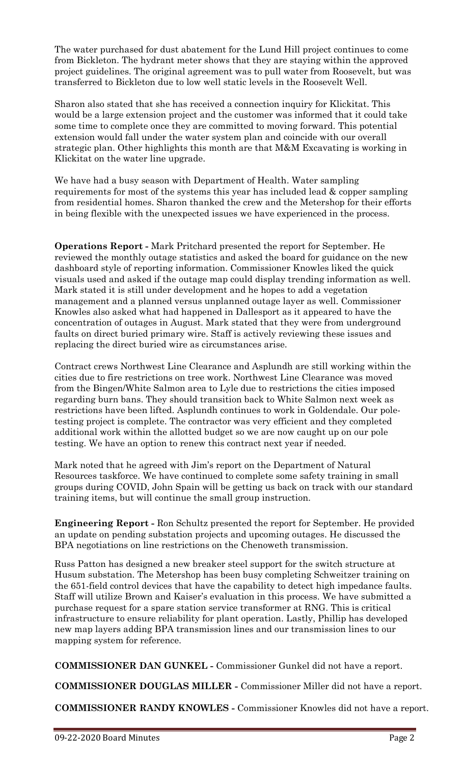The water purchased for dust abatement for the Lund Hill project continues to come from Bickleton. The hydrant meter shows that they are staying within the approved project guidelines. The original agreement was to pull water from Roosevelt, but was transferred to Bickleton due to low well static levels in the Roosevelt Well.

Sharon also stated that she has received a connection inquiry for Klickitat. This would be a large extension project and the customer was informed that it could take some time to complete once they are committed to moving forward. This potential extension would fall under the water system plan and coincide with our overall strategic plan. Other highlights this month are that M&M Excavating is working in Klickitat on the water line upgrade.

We have had a busy season with Department of Health. Water sampling requirements for most of the systems this year has included lead & copper sampling from residential homes. Sharon thanked the crew and the Metershop for their efforts in being flexible with the unexpected issues we have experienced in the process.

**Operations Report -** Mark Pritchard presented the report for September. He reviewed the monthly outage statistics and asked the board for guidance on the new dashboard style of reporting information. Commissioner Knowles liked the quick visuals used and asked if the outage map could display trending information as well. Mark stated it is still under development and he hopes to add a vegetation management and a planned versus unplanned outage layer as well. Commissioner Knowles also asked what had happened in Dallesport as it appeared to have the concentration of outages in August. Mark stated that they were from underground faults on direct buried primary wire. Staff is actively reviewing these issues and replacing the direct buried wire as circumstances arise.

Contract crews Northwest Line Clearance and Asplundh are still working within the cities due to fire restrictions on tree work. Northwest Line Clearance was moved from the Bingen/White Salmon area to Lyle due to restrictions the cities imposed regarding burn bans. They should transition back to White Salmon next week as restrictions have been lifted. Asplundh continues to work in Goldendale. Our poletesting project is complete. The contractor was very efficient and they completed additional work within the allotted budget so we are now caught up on our pole testing. We have an option to renew this contract next year if needed.

Mark noted that he agreed with Jim's report on the Department of Natural Resources taskforce. We have continued to complete some safety training in small groups during COVID, John Spain will be getting us back on track with our standard training items, but will continue the small group instruction.

**Engineering Report -** Ron Schultz presented the report for September. He provided an update on pending substation projects and upcoming outages. He discussed the BPA negotiations on line restrictions on the Chenoweth transmission.

Russ Patton has designed a new breaker steel support for the switch structure at Husum substation. The Metershop has been busy completing Schweitzer training on the 651-field control devices that have the capability to detect high impedance faults. Staff will utilize Brown and Kaiser's evaluation in this process. We have submitted a purchase request for a spare station service transformer at RNG. This is critical infrastructure to ensure reliability for plant operation. Lastly, Phillip has developed new map layers adding BPA transmission lines and our transmission lines to our mapping system for reference.

**COMMISSIONER DAN GUNKEL -** Commissioner Gunkel did not have a report.

**COMMISSIONER DOUGLAS MILLER -** Commissioner Miller did not have a report.

**COMMISSIONER RANDY KNOWLES -** Commissioner Knowles did not have a report.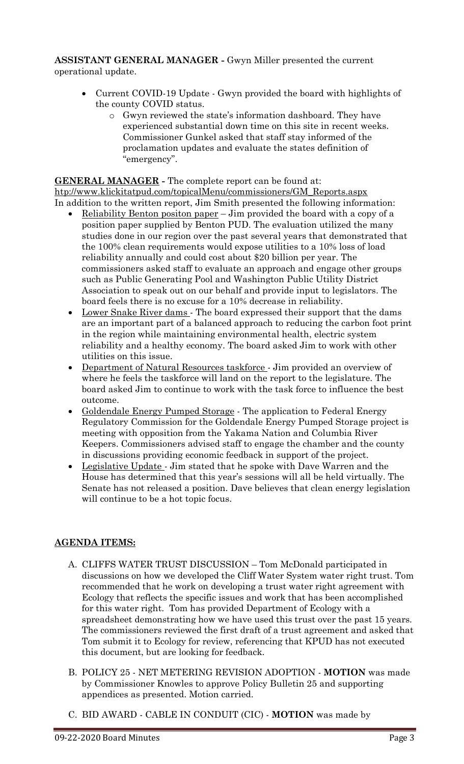**ASSISTANT GENERAL MANAGER -** Gwyn Miller presented the current operational update.

- Current COVID-19 Update Gwyn provided the board with highlights of the county COVID status.
	- o Gwyn reviewed the state's information dashboard. They have experienced substantial down time on this site in recent weeks. Commissioner Gunkel asked that staff stay informed of the proclamation updates and evaluate the states definition of "emergency".

**GENERAL MANAGER -** The complete report can be found at: [htp://www.klickitatpud.com/topicalMenu/commissioners/GM\\_Reports.aspx](http://www.klickitatpud.com/topicalMenu/commissioners/GM_Reports.aspx) In addition to the written report, Jim Smith presented the following information:

- Reliability Benton positon paper Jim provided the board with a copy of a position paper supplied by Benton PUD. The evaluation utilized the many studies done in our region over the past several years that demonstrated that the 100% clean requirements would expose utilities to a 10% loss of load reliability annually and could cost about \$20 billion per year. The commissioners asked staff to evaluate an approach and engage other groups such as Public Generating Pool and Washington Public Utility District Association to speak out on our behalf and provide input to legislators. The board feels there is no excuse for a 10% decrease in reliability.
- Lower Snake River dams The board expressed their support that the dams are an important part of a balanced approach to reducing the carbon foot print in the region while maintaining environmental health, electric system reliability and a healthy economy. The board asked Jim to work with other utilities on this issue.
- Department of Natural Resources taskforce Jim provided an overview of where he feels the taskforce will land on the report to the legislature. The board asked Jim to continue to work with the task force to influence the best outcome.
- Goldendale Energy Pumped Storage The application to Federal Energy Regulatory Commission for the Goldendale Energy Pumped Storage project is meeting with opposition from the Yakama Nation and Columbia River Keepers. Commissioners advised staff to engage the chamber and the county in discussions providing economic feedback in support of the project.
- Legislative Update Jim stated that he spoke with Dave Warren and the House has determined that this year's sessions will all be held virtually. The Senate has not released a position. Dave believes that clean energy legislation will continue to be a hot topic focus.

## **AGENDA ITEMS:**

- A. CLIFFS WATER TRUST DISCUSSION Tom McDonald participated in discussions on how we developed the Cliff Water System water right trust. Tom recommended that he work on developing a trust water right agreement with Ecology that reflects the specific issues and work that has been accomplished for this water right. Tom has provided Department of Ecology with a spreadsheet demonstrating how we have used this trust over the past 15 years. The commissioners reviewed the first draft of a trust agreement and asked that Tom submit it to Ecology for review, referencing that KPUD has not executed this document, but are looking for feedback.
- B. POLICY 25 NET METERING REVISION ADOPTION **MOTION** was made by Commissioner Knowles to approve Policy Bulletin 25 and supporting appendices as presented. Motion carried.
- C. BID AWARD CABLE IN CONDUIT (CIC) **MOTION** was made by